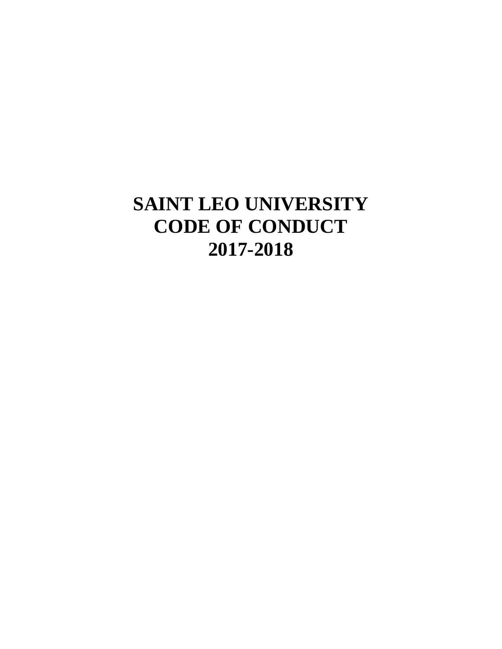# **SAINT LEO UNIVERSITY CODE OF CONDUCT 2017-2018**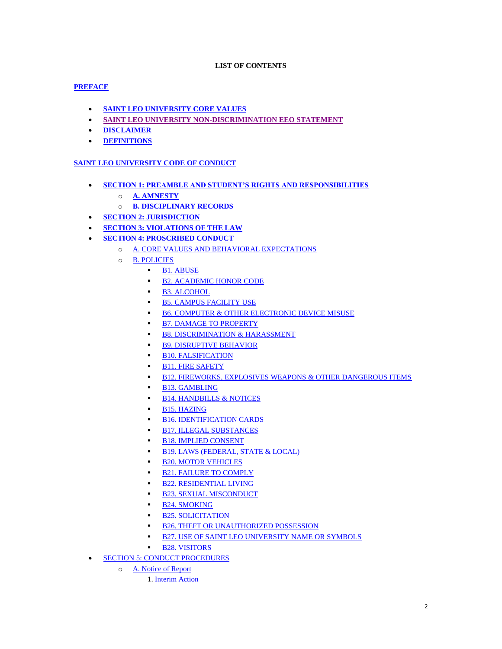# **LIST OF CONTENTS**

# **[PREFACE](#page-3-0)**

- **[SAINT LEO UNIVERSITY CORE VALUES](#page-3-1)**
- **[SAINT LEO UNIVERSITY NON-DISCRIMINATION EEO STATEMENT](#page-3-2)**
- **[DISCLAIMER](#page-3-3)**
- **[DEFINITIONS](#page-4-0)**

# **[SAINT LEO UNIVERSITY CODE OF CONDUCT](#page-5-0)**

- **[SECTION 1: PREAMBLE AND STUDENT'S RIGHTS AND RESPONSIBILITIES](#page-5-1)**
	- o **[A. AMNESTY](#page-5-2)**
	- o **[B. DISCIPLINARY RECORDS](#page-6-0)**
- **[SECTION 2: JURISDICTION](#page-6-1)**
- **[SECTION 3: VIOLATIONS OF THE LAW](#page-8-0)**
- **[SECTION 4: PROSCRIBED CONDUCT](#page-8-1)** 
	- o [A. CORE VALUES AND BEHAVIORAL EXPECTATIONS](#page-8-2)
	- o [B. POLICIES](#page-8-3)
		- [B1. ABUSE](#page-8-4)
		- **[B2. ACADEMIC HONOR CODE](#page-8-5)**
		- **[B3. ALCOHOL](#page-8-6)**
		- **[B5. CAMPUS FACILITY USE](#page-9-0)**
		- **[B6. COMPUTER & OTHER ELECTRONIC DEVICE MISUSE](#page-9-1)**
		- **[B7. DAMAGE TO PROPERTY](#page-10-0)**
		- **[B8. DISCRIMINATION & HARASSMENT](#page-10-1)**
		- **[B9. DISRUPTIVE BEHAVIOR](#page-11-0)**
		- **[B10. FALSIFICATION](#page-11-1)**
		- **[B11. FIRE SAFETY](#page-11-2)**
		- [B12. FIREWORKS, EXPLOSIVES WEAPONS & OTHER DANGEROUS ITEMS](#page-12-0)
		- **[B13. GAMBLING](#page-12-1)**
		- **[B14. HANDBILLS & NOTICES](#page-12-2)**
		- **[B15. HAZING](#page-12-3)**
		- **[B16. IDENTIFICATION CARDS](#page-13-0)**
		- **[B17. ILLEGAL SUBSTANCES](#page-13-1)**
		- **[B18. IMPLIED CONSENT](#page-15-0)**
		- **[B19. LAWS \(FEDERAL, STATE & LOCAL\)](#page-15-1)**
		- **[B20. MOTOR VEHICLES](#page-15-2)**
		- **[B21. FAILURE TO COMPLY](#page-15-3)**
		- **[B22. RESIDENTIAL LIVING](#page-15-4)**
		- **[B23. SEXUAL MISCONDUCT](#page-16-0)**
		- **[B24. SMOKING](#page-16-1)**
		- **[B25. SOLICITATION](#page-16-2)**
		- **[B26. THEFT OR UNAUTHORIZED POSSESSION](#page-16-3)**
		- **[B27. USE OF SAINT LEO UNIVERSITY NAME OR SYMBOLS](#page-16-4)**
		- **[B28. VISITORS](#page-17-0)**
- **[SECTION 5: CONDUCT PROCEDURES](#page-17-1)** 
	- o [A. Notice of Report](#page-17-2)
		- 1. [Interim Action](#page-18-0)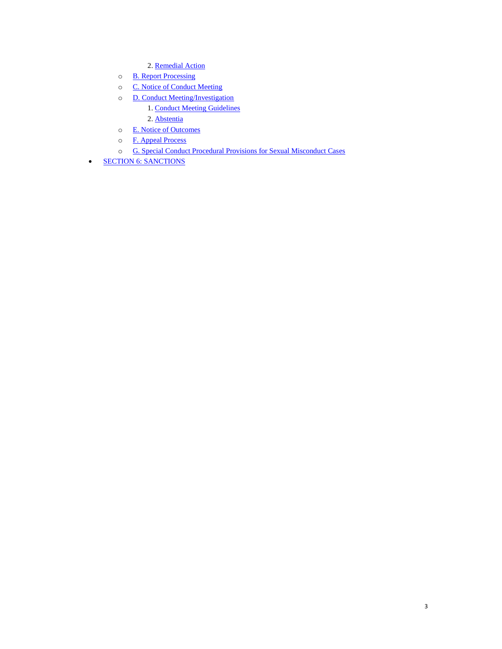- 2. [Remedial Action](#page-18-1)
- o [B. Report Processing](#page-19-0)
- o [C. Notice of Conduct Meeting](#page-19-1)
- o [D. Conduct Meeting/Investigation](#page-19-2)
	- 1. [Conduct Meeting Guidelines](#page-19-3)
	- 2. [Abstentia](#page-20-0)
- o [E. Notice of Outcomes](#page-20-1)
- o [F. Appeal Process](#page-20-2)
- o [G. Special Conduct Procedural Provisions for Sexual Misconduct Cases](#page-21-0)
- **[SECTION 6: SANCTIONS](#page-21-1)**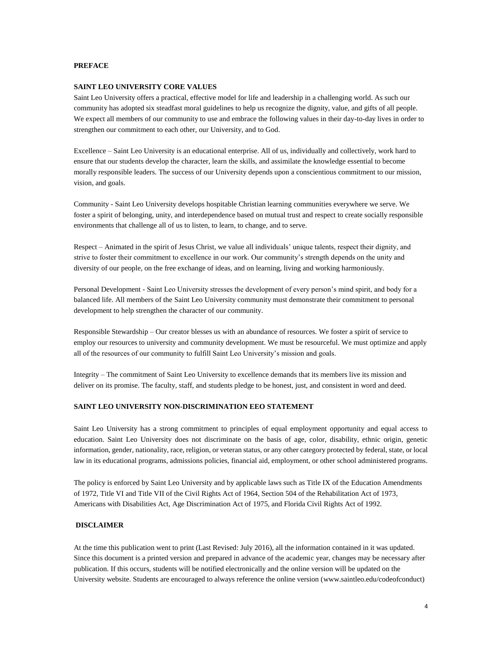## <span id="page-3-0"></span>**PREFACE**

#### <span id="page-3-1"></span>**SAINT LEO UNIVERSITY CORE VALUES**

Saint Leo University offers a practical, effective model for life and leadership in a challenging world. As such our community has adopted six steadfast moral guidelines to help us recognize the dignity, value, and gifts of all people. We expect all members of our community to use and embrace the following values in their day-to-day lives in order to strengthen our commitment to each other, our University, and to God.

Excellence – Saint Leo University is an educational enterprise. All of us, individually and collectively, work hard to ensure that our students develop the character, learn the skills, and assimilate the knowledge essential to become morally responsible leaders. The success of our University depends upon a conscientious commitment to our mission, vision, and goals.

Community - Saint Leo University develops hospitable Christian learning communities everywhere we serve. We foster a spirit of belonging, unity, and interdependence based on mutual trust and respect to create socially responsible environments that challenge all of us to listen, to learn, to change, and to serve.

Respect – Animated in the spirit of Jesus Christ, we value all individuals' unique talents, respect their dignity, and strive to foster their commitment to excellence in our work. Our community's strength depends on the unity and diversity of our people, on the free exchange of ideas, and on learning, living and working harmoniously.

Personal Development - Saint Leo University stresses the development of every person's mind spirit, and body for a balanced life. All members of the Saint Leo University community must demonstrate their commitment to personal development to help strengthen the character of our community.

Responsible Stewardship – Our creator blesses us with an abundance of resources. We foster a spirit of service to employ our resources to university and community development. We must be resourceful. We must optimize and apply all of the resources of our community to fulfill Saint Leo University's mission and goals.

Integrity – The commitment of Saint Leo University to excellence demands that its members live its mission and deliver on its promise. The faculty, staff, and students pledge to be honest, just, and consistent in word and deed.

#### <span id="page-3-2"></span>**SAINT LEO UNIVERSITY NON-DISCRIMINATION EEO STATEMENT**

Saint Leo University has a strong commitment to principles of equal employment opportunity and equal access to education. Saint Leo University does not discriminate on the basis of age, color, disability, ethnic origin, genetic information, gender, nationality, race, religion, or veteran status, or any other category protected by federal, state, or local law in its educational programs, admissions policies, financial aid, employment, or other school administered programs.

The policy is enforced by Saint Leo University and by applicable laws such as Title IX of the Education Amendments of 1972, Title VI and Title VII of the Civil Rights Act of 1964, Section 504 of the Rehabilitation Act of 1973, Americans with Disabilities Act, Age Discrimination Act of 1975, and Florida Civil Rights Act of 1992.

#### <span id="page-3-3"></span>**DISCLAIMER**

At the time this publication went to print (Last Revised: July 2016), all the information contained in it was updated. Since this document is a printed version and prepared in advance of the academic year, changes may be necessary after publication. If this occurs, students will be notified electronically and the online version will be updated on the University website. Students are encouraged to always reference the online version (www.saintleo.edu/codeofconduct)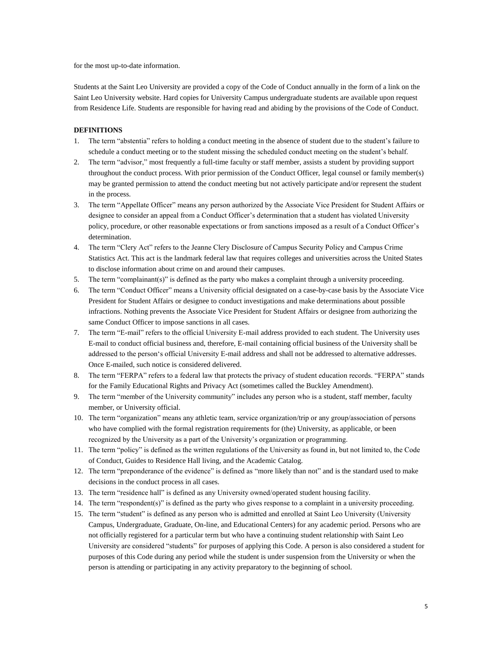for the most up-to-date information.

Students at the Saint Leo University are provided a copy of the Code of Conduct annually in the form of a link on the Saint Leo University website. Hard copies for University Campus undergraduate students are available upon request from Residence Life. Students are responsible for having read and abiding by the provisions of the Code of Conduct.

# <span id="page-4-0"></span>**DEFINITIONS**

- 1. The term "abstentia" refers to holding a conduct meeting in the absence of student due to the student's failure to schedule a conduct meeting or to the student missing the scheduled conduct meeting on the student's behalf.
- 2. The term "advisor," most frequently a full-time faculty or staff member, assists a student by providing support throughout the conduct process. With prior permission of the Conduct Officer, legal counsel or family member(s) may be granted permission to attend the conduct meeting but not actively participate and/or represent the student in the process.
- 3. The term "Appellate Officer" means any person authorized by the Associate Vice President for Student Affairs or designee to consider an appeal from a Conduct Officer's determination that a student has violated University policy, procedure, or other reasonable expectations or from sanctions imposed as a result of a Conduct Officer's determination.
- 4. The term "Clery Act" refers to the Jeanne Clery Disclosure of Campus Security Policy and Campus Crime Statistics Act. This act is the landmark federal law that requires colleges and universities across the United States to disclose information about crime on and around their campuses.
- 5. The term "complainant(s)" is defined as the party who makes a complaint through a university proceeding.
- 6. The term "Conduct Officer" means a University official designated on a case-by-case basis by the Associate Vice President for Student Affairs or designee to conduct investigations and make determinations about possible infractions. Nothing prevents the Associate Vice President for Student Affairs or designee from authorizing the same Conduct Officer to impose sanctions in all cases.
- 7. The term "E-mail" refers to the official University E-mail address provided to each student. The University uses E-mail to conduct official business and, therefore, E-mail containing official business of the University shall be addressed to the person's official University E-mail address and shall not be addressed to alternative addresses. Once E-mailed, such notice is considered delivered.
- 8. The term "FERPA" refers to a federal law that protects the privacy of student education records. "FERPA" stands for the Family Educational Rights and Privacy Act (sometimes called the Buckley Amendment).
- 9. The term "member of the University community" includes any person who is a student, staff member, faculty member, or University official.
- 10. The term "organization" means any athletic team, service organization/trip or any group/association of persons who have complied with the formal registration requirements for (the) University, as applicable, or been recognized by the University as a part of the University's organization or programming.
- 11. The term "policy" is defined as the written regulations of the University as found in, but not limited to, the Code of Conduct, Guides to Residence Hall living, and the Academic Catalog.
- 12. The term "preponderance of the evidence" is defined as "more likely than not" and is the standard used to make decisions in the conduct process in all cases.
- 13. The term "residence hall" is defined as any University owned/operated student housing facility.
- 14. The term "respondent(s)" is defined as the party who gives response to a complaint in a university proceeding.
- 15. The term "student" is defined as any person who is admitted and enrolled at Saint Leo University (University Campus, Undergraduate, Graduate, On-line, and Educational Centers) for any academic period. Persons who are not officially registered for a particular term but who have a continuing student relationship with Saint Leo University are considered "students" for purposes of applying this Code. A person is also considered a student for purposes of this Code during any period while the student is under suspension from the University or when the person is attending or participating in any activity preparatory to the beginning of school.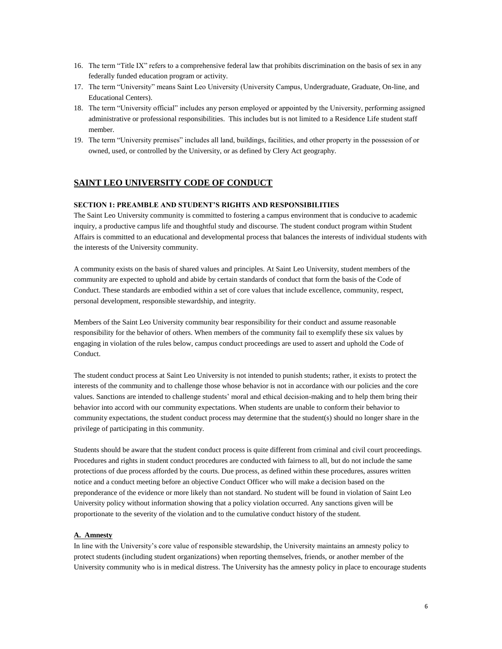- 16. The term "Title IX" refers to a comprehensive federal law that prohibits discrimination on the basis of sex in any federally funded education program or activity.
- 17. The term "University" means Saint Leo University (University Campus, Undergraduate, Graduate, On-line, and Educational Centers).
- 18. The term "University official" includes any person employed or appointed by the University, performing assigned administrative or professional responsibilities. This includes but is not limited to a Residence Life student staff member.
- 19. The term "University premises" includes all land, buildings, facilities, and other property in the possession of or owned, used, or controlled by the University, or as defined by Clery Act geography.

# <span id="page-5-0"></span>**SAINT LEO UNIVERSITY CODE OF CONDUCT**

#### <span id="page-5-1"></span>**SECTION 1: PREAMBLE AND STUDENT'S RIGHTS AND RESPONSIBILITIES**

The Saint Leo University community is committed to fostering a campus environment that is conducive to academic inquiry, a productive campus life and thoughtful study and discourse. The student conduct program within Student Affairs is committed to an educational and developmental process that balances the interests of individual students with the interests of the University community.

A community exists on the basis of shared values and principles. At Saint Leo University, student members of the community are expected to uphold and abide by certain standards of conduct that form the basis of the Code of Conduct. These standards are embodied within a set of core values that include excellence, community, respect, personal development, responsible stewardship, and integrity.

Members of the Saint Leo University community bear responsibility for their conduct and assume reasonable responsibility for the behavior of others. When members of the community fail to exemplify these six values by engaging in violation of the rules below, campus conduct proceedings are used to assert and uphold the Code of Conduct.

The student conduct process at Saint Leo University is not intended to punish students; rather, it exists to protect the interests of the community and to challenge those whose behavior is not in accordance with our policies and the core values. Sanctions are intended to challenge students' moral and ethical decision-making and to help them bring their behavior into accord with our community expectations. When students are unable to conform their behavior to community expectations, the student conduct process may determine that the student(s) should no longer share in the privilege of participating in this community.

Students should be aware that the student conduct process is quite different from criminal and civil court proceedings. Procedures and rights in student conduct procedures are conducted with fairness to all, but do not include the same protections of due process afforded by the courts. Due process, as defined within these procedures, assures written notice and a conduct meeting before an objective Conduct Officer who will make a decision based on the preponderance of the evidence or more likely than not standard. No student will be found in violation of Saint Leo University policy without information showing that a policy violation occurred. Any sanctions given will be proportionate to the severity of the violation and to the cumulative conduct history of the student.

#### <span id="page-5-2"></span>**A. Amnesty**

In line with the University's core value of responsible stewardship, the University maintains an amnesty policy to protect students (including student organizations) when reporting themselves, friends, or another member of the University community who is in medical distress. The University has the amnesty policy in place to encourage students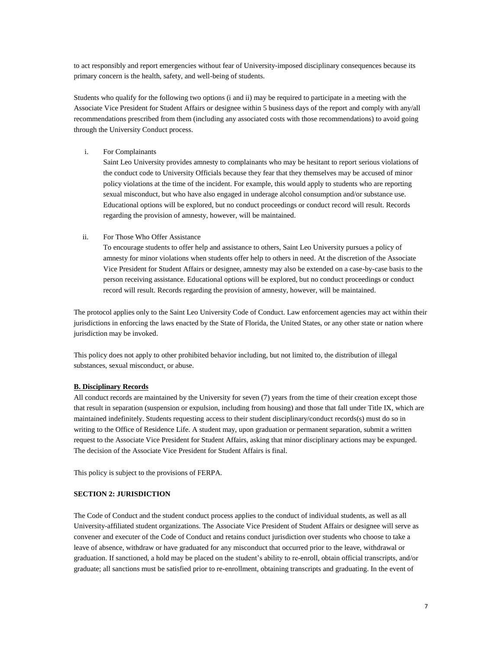to act responsibly and report emergencies without fear of University-imposed disciplinary consequences because its primary concern is the health, safety, and well-being of students.

Students who qualify for the following two options (i and ii) may be required to participate in a meeting with the Associate Vice President for Student Affairs or designee within 5 business days of the report and comply with any/all recommendations prescribed from them (including any associated costs with those recommendations) to avoid going through the University Conduct process.

i. For Complainants

Saint Leo University provides amnesty to complainants who may be hesitant to report serious violations of the conduct code to University Officials because they fear that they themselves may be accused of minor policy violations at the time of the incident. For example, this would apply to students who are reporting sexual misconduct, but who have also engaged in underage alcohol consumption and/or substance use. Educational options will be explored, but no conduct proceedings or conduct record will result. Records regarding the provision of amnesty, however, will be maintained.

ii. For Those Who Offer Assistance

To encourage students to offer help and assistance to others, Saint Leo University pursues a policy of amnesty for minor violations when students offer help to others in need. At the discretion of the Associate Vice President for Student Affairs or designee, amnesty may also be extended on a case-by-case basis to the person receiving assistance. Educational options will be explored, but no conduct proceedings or conduct record will result. Records regarding the provision of amnesty, however, will be maintained.

The protocol applies only to the Saint Leo University Code of Conduct. Law enforcement agencies may act within their jurisdictions in enforcing the laws enacted by the State of Florida, the United States, or any other state or nation where jurisdiction may be invoked.

This policy does not apply to other prohibited behavior including, but not limited to, the distribution of illegal substances, sexual misconduct, or abuse.

# <span id="page-6-0"></span>**B. Disciplinary Records**

All conduct records are maintained by the University for seven (7) years from the time of their creation except those that result in separation (suspension or expulsion, including from housing) and those that fall under Title IX, which are maintained indefinitely. Students requesting access to their student disciplinary/conduct records(s) must do so in writing to the Office of Residence Life. A student may, upon graduation or permanent separation, submit a written request to the Associate Vice President for Student Affairs, asking that minor disciplinary actions may be expunged. The decision of the Associate Vice President for Student Affairs is final.

This policy is subject to the provisions of FERPA.

#### <span id="page-6-1"></span>**SECTION 2: JURISDICTION**

The Code of Conduct and the student conduct process applies to the conduct of individual students, as well as all University-affiliated student organizations. The Associate Vice President of Student Affairs or designee will serve as convener and executer of the Code of Conduct and retains conduct jurisdiction over students who choose to take a leave of absence, withdraw or have graduated for any misconduct that occurred prior to the leave, withdrawal or graduation. If sanctioned, a hold may be placed on the student's ability to re-enroll, obtain official transcripts, and/or graduate; all sanctions must be satisfied prior to re-enrollment, obtaining transcripts and graduating. In the event of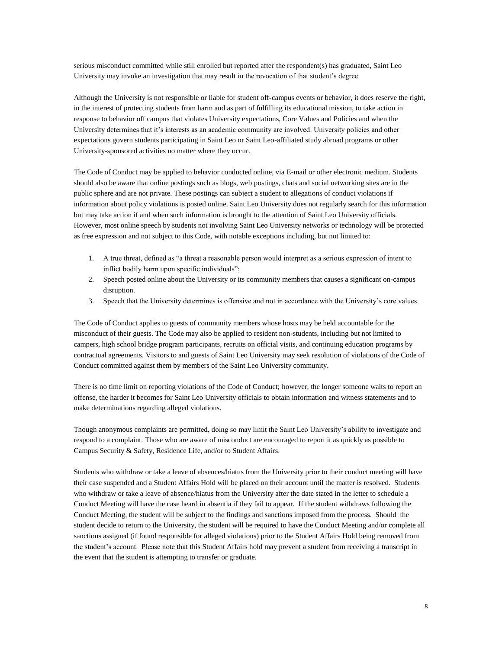serious misconduct committed while still enrolled but reported after the respondent(s) has graduated, Saint Leo University may invoke an investigation that may result in the revocation of that student's degree.

Although the University is not responsible or liable for student off-campus events or behavior, it does reserve the right, in the interest of protecting students from harm and as part of fulfilling its educational mission, to take action in response to behavior off campus that violates University expectations, Core Values and Policies and when the University determines that it's interests as an academic community are involved. University policies and other expectations govern students participating in Saint Leo or Saint Leo-affiliated study abroad programs or other University-sponsored activities no matter where they occur.

The Code of Conduct may be applied to behavior conducted online, via E-mail or other electronic medium. Students should also be aware that online postings such as blogs, web postings, chats and social networking sites are in the public sphere and are not private. These postings can subject a student to allegations of conduct violations if information about policy violations is posted online. Saint Leo University does not regularly search for this information but may take action if and when such information is brought to the attention of Saint Leo University officials. However, most online speech by students not involving Saint Leo University networks or technology will be protected as free expression and not subject to this Code, with notable exceptions including, but not limited to:

- 1. A true threat, defined as "a threat a reasonable person would interpret as a serious expression of intent to inflict bodily harm upon specific individuals";
- 2. Speech posted online about the University or its community members that causes a significant on-campus disruption.
- 3. Speech that the University determines is offensive and not in accordance with the University's core values.

The Code of Conduct applies to guests of community members whose hosts may be held accountable for the misconduct of their guests. The Code may also be applied to resident non-students, including but not limited to campers, high school bridge program participants, recruits on official visits, and continuing education programs by contractual agreements. Visitors to and guests of Saint Leo University may seek resolution of violations of the Code of Conduct committed against them by members of the Saint Leo University community.

There is no time limit on reporting violations of the Code of Conduct; however, the longer someone waits to report an offense, the harder it becomes for Saint Leo University officials to obtain information and witness statements and to make determinations regarding alleged violations.

Though anonymous complaints are permitted, doing so may limit the Saint Leo University's ability to investigate and respond to a complaint. Those who are aware of misconduct are encouraged to report it as quickly as possible to Campus Security & Safety, Residence Life, and/or to Student Affairs.

Students who withdraw or take a leave of absences/hiatus from the University prior to their conduct meeting will have their case suspended and a Student Affairs Hold will be placed on their account until the matter is resolved. Students who withdraw or take a leave of absence/hiatus from the University after the date stated in the letter to schedule a Conduct Meeting will have the case heard in absentia if they fail to appear. If the student withdraws following the Conduct Meeting, the student will be subject to the findings and sanctions imposed from the process. Should the student decide to return to the University, the student will be required to have the Conduct Meeting and/or complete all sanctions assigned (if found responsible for alleged violations) prior to the Student Affairs Hold being removed from the student's account. Please note that this Student Affairs hold may prevent a student from receiving a transcript in the event that the student is attempting to transfer or graduate.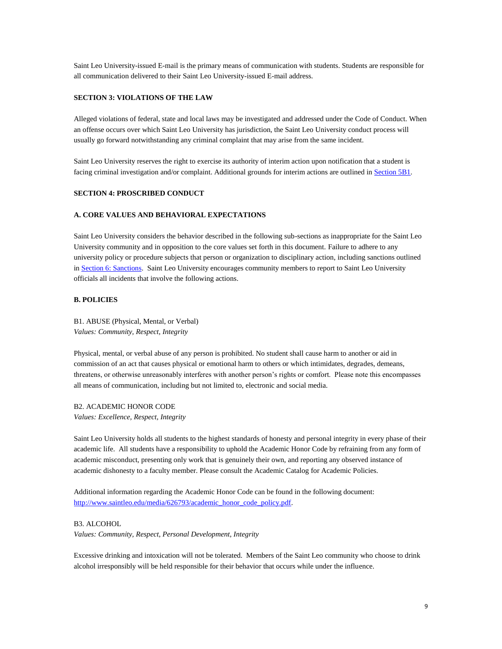Saint Leo University-issued E-mail is the primary means of communication with students. Students are responsible for all communication delivered to their Saint Leo University-issued E-mail address.

#### <span id="page-8-0"></span>**SECTION 3: VIOLATIONS OF THE LAW**

Alleged violations of federal, state and local laws may be investigated and addressed under the Code of Conduct. When an offense occurs over which Saint Leo University has jurisdiction, the Saint Leo University conduct process will usually go forward notwithstanding any criminal complaint that may arise from the same incident.

<span id="page-8-1"></span>Saint Leo University reserves the right to exercise its authority of interim action upon notification that a student is facing criminal investigation and/or complaint. Additional grounds for interim actions are outlined in **Section 5B1**.

# **SECTION 4: PROSCRIBED CONDUCT**

#### <span id="page-8-2"></span>**A. CORE VALUES AND BEHAVIORAL EXPECTATIONS**

Saint Leo University considers the behavior described in the following sub-sections as inappropriate for the Saint Leo University community and in opposition to the core values set forth in this document. Failure to adhere to any university policy or procedure subjects that person or organization to disciplinary action, including sanctions outlined i[n Section 6: Sanctions.](#page-21-1) Saint Leo University encourages community members to report to Saint Leo University officials all incidents that involve the following actions.

## <span id="page-8-3"></span>**B. POLICIES**

<span id="page-8-4"></span>B1. ABUSE (Physical, Mental, or Verbal) *Values: Community, Respect, Integrity*

Physical, mental, or verbal abuse of any person is prohibited. No student shall cause harm to another or aid in commission of an act that causes physical or emotional harm to others or which intimidates, degrades, demeans, threatens, or otherwise unreasonably interferes with another person's rights or comfort. Please note this encompasses all means of communication, including but not limited to, electronic and social media.

<span id="page-8-5"></span>B2. ACADEMIC HONOR CODE *Values: Excellence, Respect, Integrity*

Saint Leo University holds all students to the highest standards of honesty and personal integrity in every phase of their academic life. All students have a responsibility to uphold the Academic Honor Code by refraining from any form of academic misconduct, presenting only work that is genuinely their own, and reporting any observed instance of academic dishonesty to a faculty member. Please consult the Academic Catalog for Academic Policies.

Additional information regarding the Academic Honor Code can be found in the following document: [http://www.saintleo.edu/media/626793/academic\\_honor\\_code\\_policy.pdf.](http://www.saintleo.edu/media/626793/academic_honor_code_policy.pdf)

<span id="page-8-6"></span>B3. ALCOHOL *Values: Community, Respect, Personal Development, Integrity*

Excessive drinking and intoxication will not be tolerated. Members of the Saint Leo community who choose to drink alcohol irresponsibly will be held responsible for their behavior that occurs while under the influence.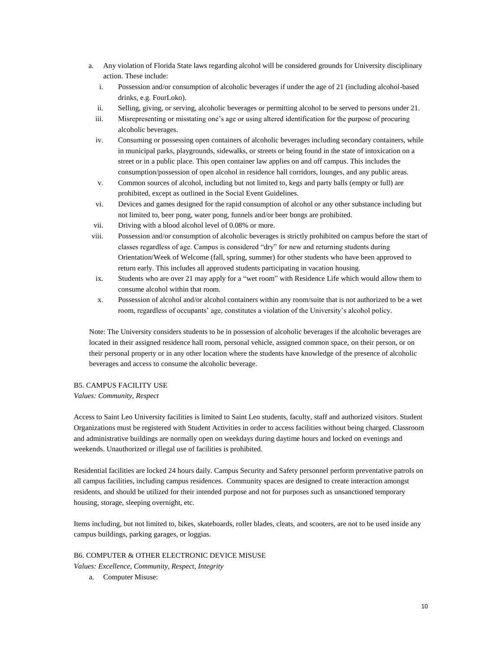- a. Any violation of Florida State laws regarding alcohol will be considered grounds for University disciplinary action. These include:
	- i. Possession and/or consumption of alcoholic beverages if under the age of 21 (including alcohol-based drinks, e.g. FourLoko).
	- ii. Selling, giving, or serving, alcoholic beverages or permitting alcohol to be served to persons under 21.
	- iii. Misrepresenting or misstating one's age or using altered identification for the purpose of procuring alcoholic beverages.
	- iv. Consuming or possessing open containers of alcoholic beverages including secondary containers, while in municipal parks, playgrounds, sidewalks, or streets or being found in the state of intoxication on a street or in a public place. This open container law applies on and off campus. This includes the consumption/possession of open alcohol in residence hall corridors, lounges, and any public areas.
	- v. Common sources of alcohol, including but not limited to, kegs and party balls (empty or full) are prohibited, except as outlined in the Social Event Guidelines.
	- vi. Devices and games designed for the rapid consumption of alcohol or any other substance including but not limited to, beer pong, water pong, funnels and/or beer bongs are prohibited.
	- vii. Driving with a blood alcohol level of 0.08% or more.
- viii. Possession and/or consumption of alcoholic beverages is strictly prohibited on campus before the start of classes regardless of age. Campus is considered "dry" for new and returning students during Orientation/Week of Welcome (fall, spring, summer) for other students who have been approved to return early. This includes all approved students participating in vacation housing.
- ix. Students who are over 21 may apply for a "wet room" with Residence Life which would allow them to consume alcohol within that room.
- x. Possession of alcohol and/or alcohol containers within any room/suite that is not authorized to be a wet room, regardless of occupants' age, constitutes a violation of the University's alcohol policy.

Note: The University considers students to be in possession of alcoholic beverages if the alcoholic beverages are located in their assigned residence hall room, personal vehicle, assigned common space, on their person, or on their personal property or in any other location where the students have knowledge of the presence of alcoholic beverages and access to consume the alcoholic beverage.

# <span id="page-9-0"></span>B5. CAMPUS FACILITY USE

*Values: Community, Respect*

Access to Saint Leo University facilities is limited to Saint Leo students, faculty, staff and authorized visitors. Student Organizations must be registered with Student Activities in order to access facilities without being charged. Classroom and administrative buildings are normally open on weekdays during daytime hours and locked on evenings and weekends. Unauthorized or illegal use of facilities is prohibited.

Residential facilities are locked 24 hours daily. Campus Security and Safety personnel perform preventative patrols on all campus facilities, including campus residences. Community spaces are designed to create interaction amongst residents, and should be utilized for their intended purpose and not for purposes such as unsanctioned temporary housing, storage, sleeping overnight, etc.

Items including, but not limited to, bikes, skateboards, roller blades, cleats, and scooters, are not to be used inside any campus buildings, parking garages, or loggias.

#### <span id="page-9-1"></span>B6. COMPUTER & OTHER ELECTRONIC DEVICE MISUSE

*Values: Excellence, Community, Respect, Integrity*

a. Computer Misuse: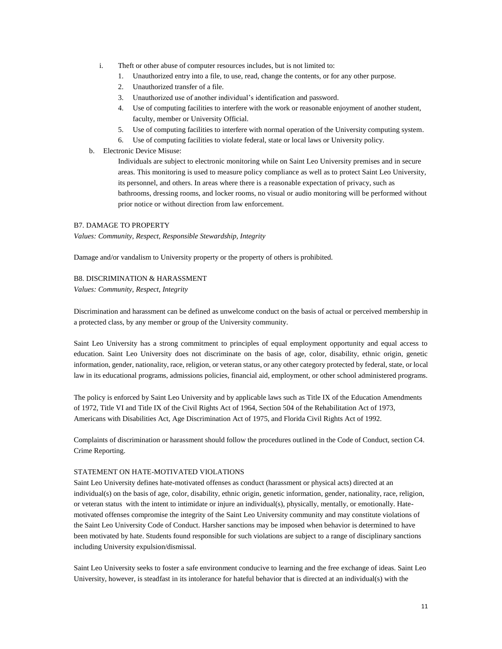- i. Theft or other abuse of computer resources includes, but is not limited to:
	- 1. Unauthorized entry into a file, to use, read, change the contents, or for any other purpose.
	- 2. Unauthorized transfer of a file.
	- 3. Unauthorized use of another individual's identification and password.
	- 4. Use of computing facilities to interfere with the work or reasonable enjoyment of another student, faculty, member or University Official.
	- 5. Use of computing facilities to interfere with normal operation of the University computing system.
	- 6. Use of computing facilities to violate federal, state or local laws or University policy.
- b. Electronic Device Misuse:

Individuals are subject to electronic monitoring while on Saint Leo University premises and in secure areas. This monitoring is used to measure policy compliance as well as to protect Saint Leo University, its personnel, and others. In areas where there is a reasonable expectation of privacy, such as bathrooms, dressing rooms, and locker rooms, no visual or audio monitoring will be performed without prior notice or without direction from law enforcement.

## <span id="page-10-0"></span>B7. DAMAGE TO PROPERTY

*Values: Community, Respect, Responsible Stewardship, Integrity*

Damage and/or vandalism to University property or the property of others is prohibited.

## <span id="page-10-1"></span>B8. DISCRIMINATION & HARASSMENT

*Values: Community, Respect, Integrity*

Discrimination and harassment can be defined as unwelcome conduct on the basis of actual or perceived membership in a protected class, by any member or group of the University community.

Saint Leo University has a strong commitment to principles of equal employment opportunity and equal access to education. Saint Leo University does not discriminate on the basis of age, color, disability, ethnic origin, genetic information, gender, nationality, race, religion, or veteran status, or any other category protected by federal, state, or local law in its educational programs, admissions policies, financial aid, employment, or other school administered programs.

The policy is enforced by Saint Leo University and by applicable laws such as Title IX of the Education Amendments of 1972, Title VI and Title IX of the Civil Rights Act of 1964, Section 504 of the Rehabilitation Act of 1973, Americans with Disabilities Act, Age Discrimination Act of 1975, and Florida Civil Rights Act of 1992.

Complaints of discrimination or harassment should follow the procedures outlined in the Code of Conduct, section C4. Crime Reporting.

#### STATEMENT ON HATE-MOTIVATED VIOLATIONS

Saint Leo University defines hate-motivated offenses as conduct (harassment or physical acts) directed at an individual(s) on the basis of age, color, disability, ethnic origin, genetic information, gender, nationality, race, religion, or veteran status with the intent to intimidate or injure an individual(s), physically, mentally, or emotionally. Hatemotivated offenses compromise the integrity of the Saint Leo University community and may constitute violations of the Saint Leo University Code of Conduct. Harsher sanctions may be imposed when behavior is determined to have been motivated by hate. Students found responsible for such violations are subject to a range of disciplinary sanctions including University expulsion/dismissal.

Saint Leo University seeks to foster a safe environment conducive to learning and the free exchange of ideas. Saint Leo University, however, is steadfast in its intolerance for hateful behavior that is directed at an individual(s) with the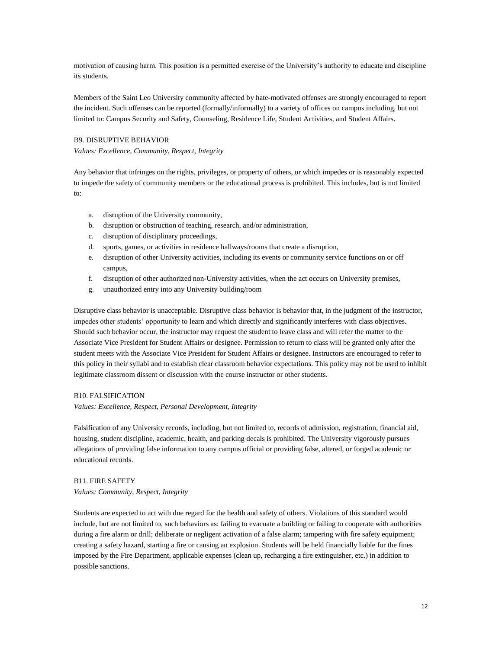motivation of causing harm. This position is a permitted exercise of the University's authority to educate and discipline its students.

Members of the Saint Leo University community affected by hate-motivated offenses are strongly encouraged to report the incident. Such offenses can be reported (formally/informally) to a variety of offices on campus including, but not limited to: Campus Security and Safety, Counseling, Residence Life, Student Activities, and Student Affairs.

## <span id="page-11-0"></span>B9. DISRUPTIVE BEHAVIOR

*Values: Excellence, Community, Respect, Integrity*

Any behavior that infringes on the rights, privileges, or property of others, or which impedes or is reasonably expected to impede the safety of community members or the educational process is prohibited. This includes, but is not limited to:

- a. disruption of the University community,
- b. disruption or obstruction of teaching, research, and/or administration,
- c. disruption of disciplinary proceedings,
- d. sports, games, or activities in residence hallways/rooms that create a disruption,
- e. disruption of other University activities, including its events or community service functions on or off campus,
- f. disruption of other authorized non-University activities, when the act occurs on University premises,
- g. unauthorized entry into any University building/room

Disruptive class behavior is unacceptable. Disruptive class behavior is behavior that, in the judgment of the instructor, impedes other students' opportunity to learn and which directly and significantly interferes with class objectives. Should such behavior occur, the instructor may request the student to leave class and will refer the matter to the Associate Vice President for Student Affairs or designee. Permission to return to class will be granted only after the student meets with the Associate Vice President for Student Affairs or designee. Instructors are encouraged to refer to this policy in their syllabi and to establish clear classroom behavior expectations. This policy may not be used to inhibit legitimate classroom dissent or discussion with the course instructor or other students.

#### <span id="page-11-1"></span>B10. FALSIFICATION

*Values: Excellence, Respect, Personal Development, Integrity*

Falsification of any University records, including, but not limited to, records of admission, registration, financial aid, housing, student discipline, academic, health, and parking decals is prohibited. The University vigorously pursues allegations of providing false information to any campus official or providing false, altered, or forged academic or educational records.

## <span id="page-11-2"></span>B11. FIRE SAFETY

*Values: Community, Respect, Integrity*

Students are expected to act with due regard for the health and safety of others. Violations of this standard would include, but are not limited to, such behaviors as: failing to evacuate a building or failing to cooperate with authorities during a fire alarm or drill; deliberate or negligent activation of a false alarm; tampering with fire safety equipment; creating a safety hazard, starting a fire or causing an explosion. Students will be held financially liable for the fines imposed by the Fire Department, applicable expenses (clean up, recharging a fire extinguisher, etc.) in addition to possible sanctions.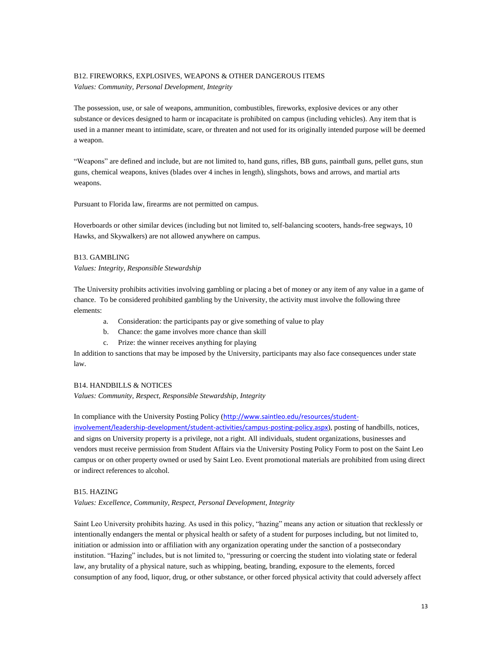#### <span id="page-12-0"></span>B12. FIREWORKS, EXPLOSIVES, WEAPONS & OTHER DANGEROUS ITEMS

*Values: Community, Personal Development, Integrity*

The possession, use, or sale of weapons, ammunition, combustibles, fireworks, explosive devices or any other substance or devices designed to harm or incapacitate is prohibited on campus (including vehicles). Any item that is used in a manner meant to intimidate, scare, or threaten and not used for its originally intended purpose will be deemed a weapon.

"Weapons" are defined and include, but are not limited to, hand guns, rifles, BB guns, paintball guns, pellet guns, stun guns, chemical weapons, knives (blades over 4 inches in length), slingshots, bows and arrows, and martial arts weapons.

Pursuant to Florida law, firearms are not permitted on campus.

Hoverboards or other similar devices (including but not limited to, self-balancing scooters, hands-free segways, 10 Hawks, and Skywalkers) are not allowed anywhere on campus.

#### <span id="page-12-1"></span>B13. GAMBLING

*Values: Integrity, Responsible Stewardship*

The University prohibits activities involving gambling or placing a bet of money or any item of any value in a game of chance. To be considered prohibited gambling by the University, the activity must involve the following three elements:

- a. Consideration: the participants pay or give something of value to play
- b. Chance: the game involves more chance than skill
- c. Prize: the winner receives anything for playing

In addition to sanctions that may be imposed by the University, participants may also face consequences under state law.

## <span id="page-12-2"></span>B14. HANDBILLS & NOTICES

*Values: Community, Respect, Responsible Stewardship, Integrity*

In compliance with the University Posting Policy ([http://www.saintleo.edu/resources/student-](http://www.saintleo.edu/resources/student-involvement/leadership-development/student-activities/campus-posting-policy.aspx)

[involvement/leadership-development/student-activities/campus-posting-policy.aspx](http://www.saintleo.edu/resources/student-involvement/leadership-development/student-activities/campus-posting-policy.aspx)), posting of handbills, notices, and signs on University property is a privilege, not a right. All individuals, student organizations, businesses and vendors must receive permission from Student Affairs via the University Posting Policy Form to post on the Saint Leo campus or on other property owned or used by Saint Leo. Event promotional materials are prohibited from using direct or indirect references to alcohol.

#### <span id="page-12-3"></span>B15. HAZING

*Values: Excellence, Community, Respect, Personal Development, Integrity*

Saint Leo University prohibits hazing. As used in this policy, "hazing" means any action or situation that recklessly or intentionally endangers the mental or physical health or safety of a student for purposes including, but not limited to, initiation or admission into or affiliation with any organization operating under the sanction of a postsecondary institution. "Hazing" includes, but is not limited to, "pressuring or coercing the student into violating state or federal law, any brutality of a physical nature, such as whipping, beating, branding, exposure to the elements, forced consumption of any food, liquor, drug, or other substance, or other forced physical activity that could adversely affect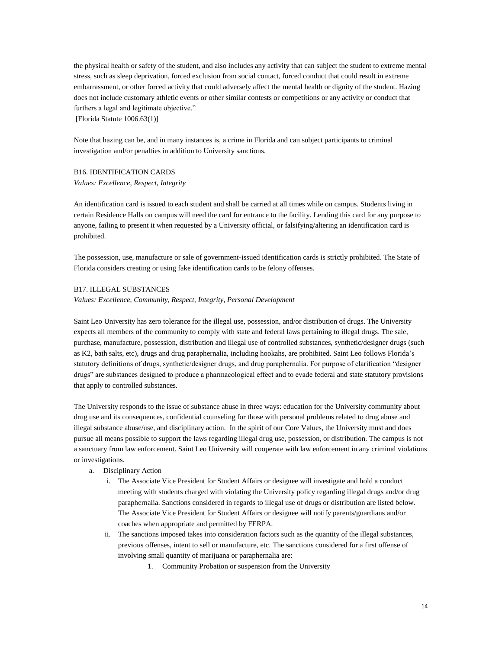the physical health or safety of the student, and also includes any activity that can subject the student to extreme mental stress, such as sleep deprivation, forced exclusion from social contact, forced conduct that could result in extreme embarrassment, or other forced activity that could adversely affect the mental health or dignity of the student. Hazing does not include customary athletic events or other similar contests or competitions or any activity or conduct that furthers a legal and legitimate objective."

[Florida Statute 1006.63(1)]

Note that hazing can be, and in many instances is, a crime in Florida and can subject participants to criminal investigation and/or penalties in addition to University sanctions.

# <span id="page-13-0"></span>B16. IDENTIFICATION CARDS

*Values: Excellence, Respect, Integrity*

An identification card is issued to each student and shall be carried at all times while on campus. Students living in certain Residence Halls on campus will need the card for entrance to the facility. Lending this card for any purpose to anyone, failing to present it when requested by a University official, or falsifying/altering an identification card is prohibited.

The possession, use, manufacture or sale of government-issued identification cards is strictly prohibited. The State of Florida considers creating or using fake identification cards to be felony offenses.

## <span id="page-13-1"></span>B17. ILLEGAL SUBSTANCES

#### *Values: Excellence, Community, Respect, Integrity, Personal Development*

Saint Leo University has zero tolerance for the illegal use, possession, and/or distribution of drugs. The University expects all members of the community to comply with state and federal laws pertaining to illegal drugs. The sale, purchase, manufacture, possession, distribution and illegal use of controlled substances, synthetic/designer drugs (such as K2, bath salts, etc), drugs and drug paraphernalia, including hookahs, are prohibited. Saint Leo follows Florida's statutory definitions of drugs, synthetic/designer drugs, and drug paraphernalia. For purpose of clarification "designer drugs" are substances designed to produce a pharmacological effect and to evade federal and state statutory provisions that apply to controlled substances.

The University responds to the issue of substance abuse in three ways: education for the University community about drug use and its consequences, confidential counseling for those with personal problems related to drug abuse and illegal substance abuse/use, and disciplinary action. In the spirit of our Core Values, the University must and does pursue all means possible to support the laws regarding illegal drug use, possession, or distribution. The campus is not a sanctuary from law enforcement. Saint Leo University will cooperate with law enforcement in any criminal violations or investigations.

- a. Disciplinary Action
	- i. The Associate Vice President for Student Affairs or designee will investigate and hold a conduct meeting with students charged with violating the University policy regarding illegal drugs and/or drug paraphernalia. Sanctions considered in regards to illegal use of drugs or distribution are listed below. The Associate Vice President for Student Affairs or designee will notify parents/guardians and/or coaches when appropriate and permitted by FERPA.
	- ii. The sanctions imposed takes into consideration factors such as the quantity of the illegal substances, previous offenses, intent to sell or manufacture, etc. The sanctions considered for a first offense of involving small quantity of marijuana or paraphernalia are:
		- 1. Community Probation or suspension from the University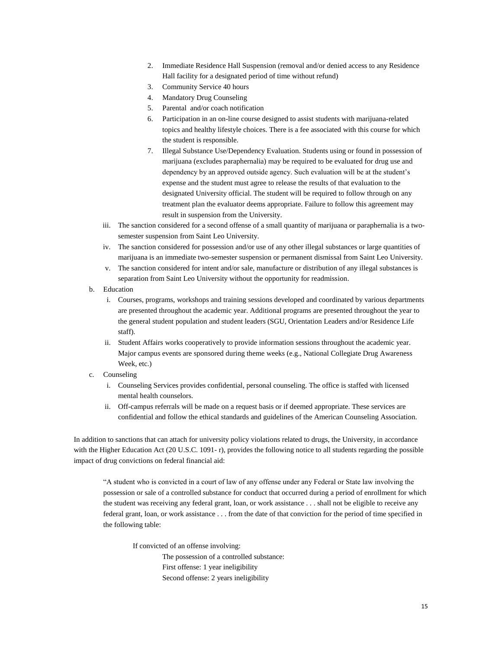- 2. Immediate Residence Hall Suspension (removal and/or denied access to any Residence Hall facility for a designated period of time without refund)
- 3. Community Service 40 hours
- 4. Mandatory Drug Counseling
- 5. Parental and/or coach notification
- 6. Participation in an on-line course designed to assist students with marijuana-related topics and healthy lifestyle choices. There is a fee associated with this course for which the student is responsible.
- 7. Illegal Substance Use/Dependency Evaluation. Students using or found in possession of marijuana (excludes paraphernalia) may be required to be evaluated for drug use and dependency by an approved outside agency. Such evaluation will be at the student's expense and the student must agree to release the results of that evaluation to the designated University official. The student will be required to follow through on any treatment plan the evaluator deems appropriate. Failure to follow this agreement may result in suspension from the University.
- iii. The sanction considered for a second offense of a small quantity of marijuana or paraphernalia is a twosemester suspension from Saint Leo University.
- iv. The sanction considered for possession and/or use of any other illegal substances or large quantities of marijuana is an immediate two-semester suspension or permanent dismissal from Saint Leo University.
- v. The sanction considered for intent and/or sale, manufacture or distribution of any illegal substances is separation from Saint Leo University without the opportunity for readmission.
- b. Education
	- i. Courses, programs, workshops and training sessions developed and coordinated by various departments are presented throughout the academic year. Additional programs are presented throughout the year to the general student population and student leaders (SGU, Orientation Leaders and/or Residence Life staff).
	- ii. Student Affairs works cooperatively to provide information sessions throughout the academic year. Major campus events are sponsored during theme weeks (e.g., National Collegiate Drug Awareness Week, etc.)
- c. Counseling
	- i. Counseling Services provides confidential, personal counseling. The office is staffed with licensed mental health counselors.
	- ii. Off-campus referrals will be made on a request basis or if deemed appropriate. These services are confidential and follow the ethical standards and guidelines of the American Counseling Association.

In addition to sanctions that can attach for university policy violations related to drugs, the University, in accordance with the Higher Education Act (20 U.S.C. 1091- r), provides the following notice to all students regarding the possible impact of drug convictions on federal financial aid:

"A student who is convicted in a court of law of any offense under any Federal or State law involving the possession or sale of a controlled substance for conduct that occurred during a period of enrollment for which the student was receiving any federal grant, loan, or work assistance . . . shall not be eligible to receive any federal grant, loan, or work assistance . . . from the date of that conviction for the period of time specified in the following table:

If convicted of an offense involving:

The possession of a controlled substance: First offense: 1 year ineligibility Second offense: 2 years ineligibility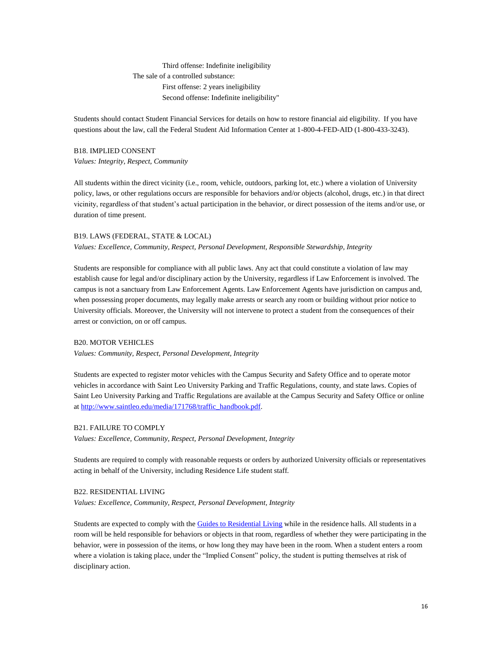Third offense: Indefinite ineligibility The sale of a controlled substance: First offense: 2 years ineligibility Second offense: Indefinite ineligibility"

Students should contact Student Financial Services for details on how to restore financial aid eligibility. If you have questions about the law, call the Federal Student Aid Information Center at 1-800-4-FED-AID (1-800-433-3243).

# <span id="page-15-0"></span>B18. IMPLIED CONSENT *Values: Integrity, Respect, Community*

All students within the direct vicinity (i.e., room, vehicle, outdoors, parking lot, etc.) where a violation of University policy, laws, or other regulations occurs are responsible for behaviors and/or objects (alcohol, drugs, etc.) in that direct vicinity, regardless of that student's actual participation in the behavior, or direct possession of the items and/or use, or duration of time present.

#### <span id="page-15-1"></span>B19. LAWS (FEDERAL, STATE & LOCAL)

#### *Values: Excellence, Community, Respect, Personal Development, Responsible Stewardship, Integrity*

Students are responsible for compliance with all public laws. Any act that could constitute a violation of law may establish cause for legal and/or disciplinary action by the University, regardless if Law Enforcement is involved. The campus is not a sanctuary from Law Enforcement Agents. Law Enforcement Agents have jurisdiction on campus and, when possessing proper documents, may legally make arrests or search any room or building without prior notice to University officials. Moreover, the University will not intervene to protect a student from the consequences of their arrest or conviction, on or off campus.

## <span id="page-15-2"></span>B20. MOTOR VEHICLES

*Values: Community, Respect, Personal Development, Integrity*

Students are expected to register motor vehicles with the Campus Security and Safety Office and to operate motor vehicles in accordance with Saint Leo University Parking and Traffic Regulations, county, and state laws. Copies of Saint Leo University Parking and Traffic Regulations are available at the Campus Security and Safety Office or online at [http://www.saintleo.edu/media/171768/traffic\\_handbook.pdf.](http://www.saintleo.edu/media/171768/traffic_handbook.pdf)

#### <span id="page-15-3"></span>B21. FAILURE TO COMPLY

*Values: Excellence, Community, Respect, Personal Development, Integrity*

Students are required to comply with reasonable requests or orders by authorized University officials or representatives acting in behalf of the University, including Residence Life student staff.

## <span id="page-15-4"></span>B22. RESIDENTIAL LIVING

*Values: Excellence, Community, Respect, Personal Development, Integrity*

Students are expected to comply with th[e Guides to Residential Living](http://www.saintleo.edu/media/1047121/guides_to_residential_living_2016.pdf) while in the residence halls. All students in a room will be held responsible for behaviors or objects in that room, regardless of whether they were participating in the behavior, were in possession of the items, or how long they may have been in the room. When a student enters a room where a violation is taking place, under the "Implied Consent" policy, the student is putting themselves at risk of disciplinary action.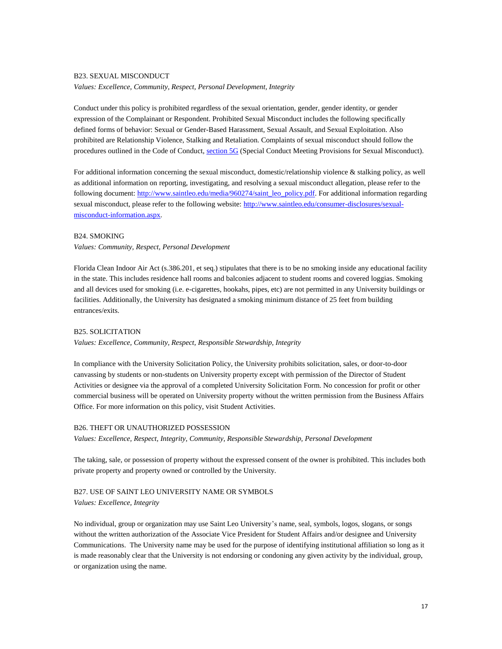#### <span id="page-16-0"></span>B23. SEXUAL MISCONDUCT

*Values: Excellence, Community, Respect, Personal Development, Integrity*

Conduct under this policy is prohibited regardless of the sexual orientation, gender, gender identity, or gender expression of the Complainant or Respondent. Prohibited Sexual Misconduct includes the following specifically defined forms of behavior: Sexual or Gender-Based Harassment, Sexual Assault, and Sexual Exploitation. Also prohibited are Relationship Violence, Stalking and Retaliation. Complaints of sexual misconduct should follow the procedures outlined in the Code of Conduct, [section 5G](#page-21-0) (Special Conduct Meeting Provisions for Sexual Misconduct).

For additional information concerning the sexual misconduct, domestic/relationship violence & stalking policy, as well as additional information on reporting, investigating, and resolving a sexual misconduct allegation, please refer to the following document: [http://www.saintleo.edu/media/960274/saint\\_leo\\_policy.pdf.](http://www.saintleo.edu/media/960274/saint_leo_policy.pdf) For additional information regarding sexual misconduct, please refer to the following website: [http://www.saintleo.edu/consumer-disclosures/sexual](http://www.saintleo.edu/consumer-disclosures/sexual-misconduct-information.aspx)[misconduct-information.aspx.](http://www.saintleo.edu/consumer-disclosures/sexual-misconduct-information.aspx)

#### <span id="page-16-1"></span>B24. SMOKING

### *Values: Community, Respect, Personal Development*

Florida Clean Indoor Air Act (s.386.201, et seq.) stipulates that there is to be no smoking inside any educational facility in the state. This includes residence hall rooms and balconies adjacent to student rooms and covered loggias. Smoking and all devices used for smoking (i.e. e-cigarettes, hookahs, pipes, etc) are not permitted in any University buildings or facilities. Additionally, the University has designated a smoking minimum distance of 25 feet from building entrances/exits.

# <span id="page-16-2"></span>B25. SOLICITATION

#### *Values: Excellence, Community, Respect, Responsible Stewardship, Integrity*

In compliance with the University Solicitation Policy, the University prohibits solicitation, sales, or door-to-door canvassing by students or non-students on University property except with permission of the Director of Student Activities or designee via the approval of a completed University Solicitation Form. No concession for profit or other commercial business will be operated on University property without the written permission from the Business Affairs Office. For more information on this policy, visit Student Activities.

#### <span id="page-16-3"></span>B26. THEFT OR UNAUTHORIZED POSSESSION

*Values: Excellence, Respect, Integrity, Community, Responsible Stewardship, Personal Development*

The taking, sale, or possession of property without the expressed consent of the owner is prohibited. This includes both private property and property owned or controlled by the University.

# <span id="page-16-4"></span>B27. USE OF SAINT LEO UNIVERSITY NAME OR SYMBOLS

#### *Values: Excellence, Integrity*

No individual, group or organization may use Saint Leo University's name, seal, symbols, logos, slogans, or songs without the written authorization of the Associate Vice President for Student Affairs and/or designee and University Communications. The University name may be used for the purpose of identifying institutional affiliation so long as it is made reasonably clear that the University is not endorsing or condoning any given activity by the individual, group, or organization using the name.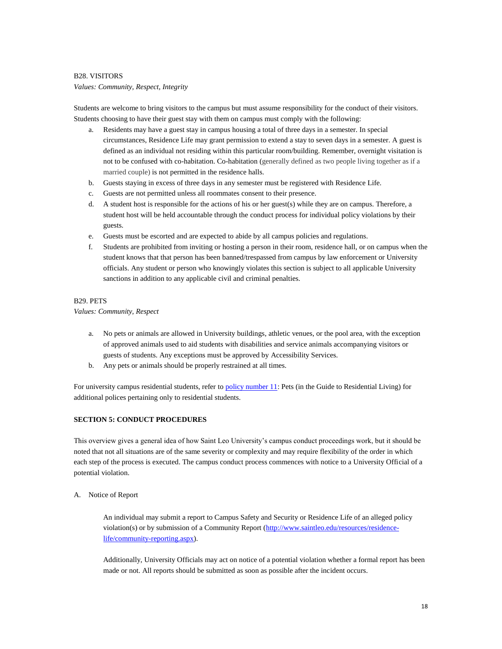## <span id="page-17-0"></span>B28. VISITORS

#### *Values: Community, Respect, Integrity*

Students are welcome to bring visitors to the campus but must assume responsibility for the conduct of their visitors. Students choosing to have their guest stay with them on campus must comply with the following:

- Residents may have a guest stay in campus housing a total of three days in a semester. In special circumstances, Residence Life may grant permission to extend a stay to seven days in a semester. A guest is defined as an individual not residing within this particular room/building. Remember, overnight visitation is not to be confused with co-habitation. Co-habitation (generally defined as two people living together as if a married couple) is not permitted in the residence halls.
- b. Guests staying in excess of three days in any semester must be registered with Residence Life.
- c. Guests are not permitted unless all roommates consent to their presence.
- d. A student host is responsible for the actions of his or her guest(s) while they are on campus. Therefore, a student host will be held accountable through the conduct process for individual policy violations by their guests.
- e. Guests must be escorted and are expected to abide by all campus policies and regulations.
- f. Students are prohibited from inviting or hosting a person in their room, residence hall, or on campus when the student knows that that person has been banned/trespassed from campus by law enforcement or University officials. Any student or person who knowingly violates this section is subject to all applicable University sanctions in addition to any applicable civil and criminal penalties.

## B29. PETS

#### *Values: Community, Respect*

- a. No pets or animals are allowed in University buildings, athletic venues, or the pool area, with the exception of approved animals used to aid students with disabilities and service animals accompanying visitors or guests of students. Any exceptions must be approved by Accessibility Services.
- b. Any pets or animals should be properly restrained at all times.

For university campus residential students, refer to policy number 11: Pets (in the Guide to Residential Living) for additional polices pertaining only to residential students.

# <span id="page-17-1"></span>**SECTION 5: CONDUCT PROCEDURES**

This overview gives a general idea of how Saint Leo University's campus conduct proceedings work, but it should be noted that not all situations are of the same severity or complexity and may require flexibility of the order in which each step of the process is executed. The campus conduct process commences with notice to a University Official of a potential violation.

# <span id="page-17-2"></span>A. Notice of Report

An individual may submit a report to Campus Safety and Security or Residence Life of an alleged policy violation(s) or by submission of a Community Report [\(http://www.saintleo.edu/resources/residence](http://www.saintleo.edu/resources/residence-life/community-reporting.aspx)[life/community-reporting.aspx\)](http://www.saintleo.edu/resources/residence-life/community-reporting.aspx).

Additionally, University Officials may act on notice of a potential violation whether a formal report has been made or not. All reports should be submitted as soon as possible after the incident occurs.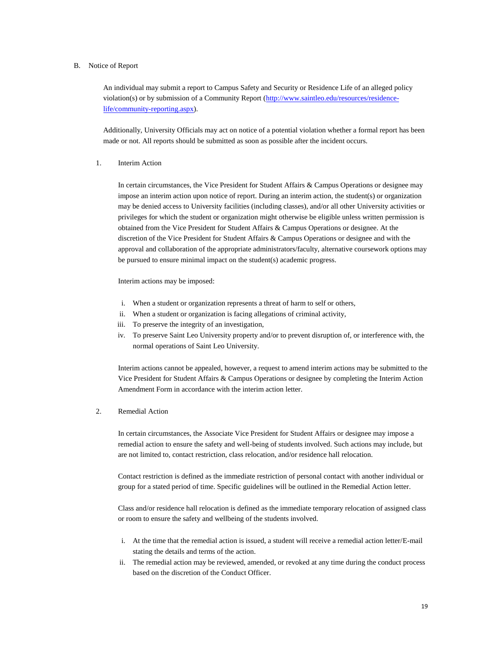#### B. Notice of Report

An individual may submit a report to Campus Safety and Security or Residence Life of an alleged policy violation(s) or by submission of a Community Report [\(http://www.saintleo.edu/resources/residence](http://www.saintleo.edu/resources/residence-life/community-reporting.aspx)[life/community-reporting.aspx\)](http://www.saintleo.edu/resources/residence-life/community-reporting.aspx).

Additionally, University Officials may act on notice of a potential violation whether a formal report has been made or not. All reports should be submitted as soon as possible after the incident occurs.

#### <span id="page-18-0"></span>1. Interim Action

In certain circumstances, the Vice President for Student Affairs & Campus Operations or designee may impose an interim action upon notice of report. During an interim action, the student(s) or organization may be denied access to University facilities (including classes), and/or all other University activities or privileges for which the student or organization might otherwise be eligible unless written permission is obtained from the Vice President for Student Affairs & Campus Operations or designee. At the discretion of the Vice President for Student Affairs & Campus Operations or designee and with the approval and collaboration of the appropriate administrators/faculty, alternative coursework options may be pursued to ensure minimal impact on the student(s) academic progress.

Interim actions may be imposed:

- i. When a student or organization represents a threat of harm to self or others,
- ii. When a student or organization is facing allegations of criminal activity,
- iii. To preserve the integrity of an investigation,
- iv. To preserve Saint Leo University property and/or to prevent disruption of, or interference with, the normal operations of Saint Leo University.

Interim actions cannot be appealed, however, a request to amend interim actions may be submitted to the Vice President for Student Affairs & Campus Operations or designee by completing the Interim Action Amendment Form in accordance with the interim action letter.

#### <span id="page-18-1"></span>2. Remedial Action

In certain circumstances, the Associate Vice President for Student Affairs or designee may impose a remedial action to ensure the safety and well-being of students involved. Such actions may include, but are not limited to, contact restriction, class relocation, and/or residence hall relocation.

Contact restriction is defined as the immediate restriction of personal contact with another individual or group for a stated period of time. Specific guidelines will be outlined in the Remedial Action letter.

Class and/or residence hall relocation is defined as the immediate temporary relocation of assigned class or room to ensure the safety and wellbeing of the students involved.

- i. At the time that the remedial action is issued, a student will receive a remedial action letter/E-mail stating the details and terms of the action.
- ii. The remedial action may be reviewed, amended, or revoked at any time during the conduct process based on the discretion of the Conduct Officer.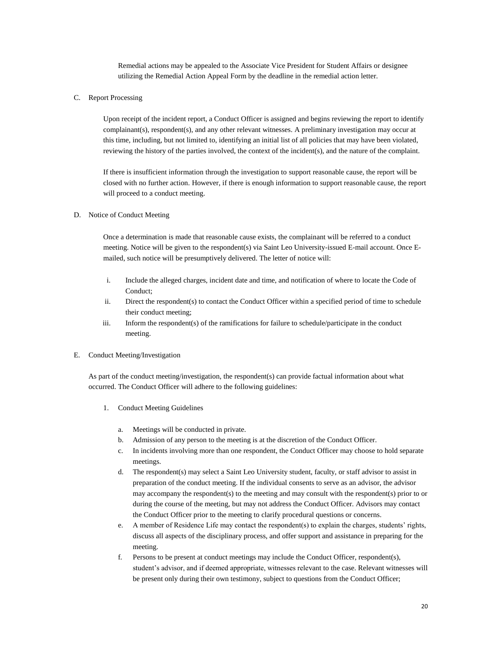Remedial actions may be appealed to the Associate Vice President for Student Affairs or designee utilizing the Remedial Action Appeal Form by the deadline in the remedial action letter.

<span id="page-19-0"></span>C. Report Processing

Upon receipt of the incident report, a Conduct Officer is assigned and begins reviewing the report to identify complainant(s), respondent(s), and any other relevant witnesses. A preliminary investigation may occur at this time, including, but not limited to, identifying an initial list of all policies that may have been violated, reviewing the history of the parties involved, the context of the incident(s), and the nature of the complaint.

If there is insufficient information through the investigation to support reasonable cause, the report will be closed with no further action. However, if there is enough information to support reasonable cause, the report will proceed to a conduct meeting.

# <span id="page-19-1"></span>D. Notice of Conduct Meeting

Once a determination is made that reasonable cause exists, the complainant will be referred to a conduct meeting. Notice will be given to the respondent(s) via Saint Leo University-issued E-mail account. Once Emailed, such notice will be presumptively delivered. The letter of notice will:

- i. Include the alleged charges, incident date and time, and notification of where to locate the Code of Conduct;
- ii. Direct the respondent(s) to contact the Conduct Officer within a specified period of time to schedule their conduct meeting;
- iii. Inform the respondent(s) of the ramifications for failure to schedule/participate in the conduct meeting.

#### <span id="page-19-2"></span>E. Conduct Meeting/Investigation

<span id="page-19-3"></span>As part of the conduct meeting/investigation, the respondent(s) can provide factual information about what occurred. The Conduct Officer will adhere to the following guidelines:

- 1. Conduct Meeting Guidelines
	- a. Meetings will be conducted in private.
	- b. Admission of any person to the meeting is at the discretion of the Conduct Officer.
	- c. In incidents involving more than one respondent, the Conduct Officer may choose to hold separate meetings.
	- d. The respondent(s) may select a Saint Leo University student, faculty, or staff advisor to assist in preparation of the conduct meeting. If the individual consents to serve as an advisor, the advisor may accompany the respondent(s) to the meeting and may consult with the respondent(s) prior to or during the course of the meeting, but may not address the Conduct Officer. Advisors may contact the Conduct Officer prior to the meeting to clarify procedural questions or concerns.
	- e. A member of Residence Life may contact the respondent(s) to explain the charges, students' rights, discuss all aspects of the disciplinary process, and offer support and assistance in preparing for the meeting.
	- f. Persons to be present at conduct meetings may include the Conduct Officer, respondent(s), student's advisor, and if deemed appropriate, witnesses relevant to the case. Relevant witnesses will be present only during their own testimony, subject to questions from the Conduct Officer;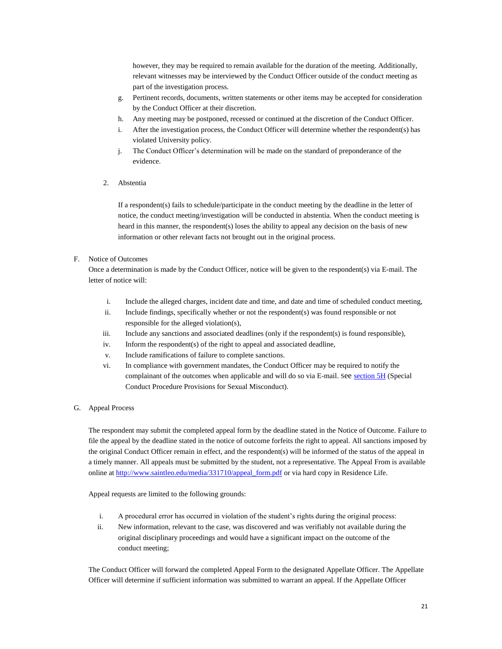however, they may be required to remain available for the duration of the meeting. Additionally, relevant witnesses may be interviewed by the Conduct Officer outside of the conduct meeting as part of the investigation process.

- g. Pertinent records, documents, written statements or other items may be accepted for consideration by the Conduct Officer at their discretion.
- h. Any meeting may be postponed, recessed or continued at the discretion of the Conduct Officer.
- i. After the investigation process, the Conduct Officer will determine whether the respondent(s) has violated University policy.
- <span id="page-20-0"></span>j. The Conduct Officer's determination will be made on the standard of preponderance of the evidence.
- 2. Abstentia

If a respondent(s) fails to schedule/participate in the conduct meeting by the deadline in the letter of notice, the conduct meeting/investigation will be conducted in abstentia. When the conduct meeting is heard in this manner, the respondent(s) loses the ability to appeal any decision on the basis of new information or other relevant facts not brought out in the original process.

## <span id="page-20-1"></span>F. Notice of Outcomes

Once a determination is made by the Conduct Officer, notice will be given to the respondent(s) via E-mail. The letter of notice will:

- i. Include the alleged charges, incident date and time, and date and time of scheduled conduct meeting,
- ii. Include findings, specifically whether or not the respondent(s) was found responsible or not responsible for the alleged violation(s),
- iii. Include any sanctions and associated deadlines (only if the respondent(s) is found responsible),
- iv. Inform the respondent(s) of the right to appeal and associated deadline,
- v. Include ramifications of failure to complete sanctions.
- vi. In compliance with government mandates, the Conduct Officer may be required to notify the complainant of the outcomes when applicable and will do so via E-mail. See [section 5H](#page-21-0) (Special Conduct Procedure Provisions for Sexual Misconduct).
- <span id="page-20-2"></span>G. Appeal Process

The respondent may submit the completed appeal form by the deadline stated in the Notice of Outcome. Failure to file the appeal by the deadline stated in the notice of outcome forfeits the right to appeal. All sanctions imposed by the original Conduct Officer remain in effect, and the respondent(s) will be informed of the status of the appeal in a timely manner. All appeals must be submitted by the student, not a representative. The Appeal From is available online a[t http://www.saintleo.edu/media/331710/appeal\\_form.pdf](http://www.saintleo.edu/media/331710/appeal_form.pdf) or via hard copy in Residence Life.

Appeal requests are limited to the following grounds:

- i. A procedural error has occurred in violation of the student's rights during the original process:
- ii. New information, relevant to the case, was discovered and was verifiably not available during the original disciplinary proceedings and would have a significant impact on the outcome of the conduct meeting;

The Conduct Officer will forward the completed Appeal Form to the designated Appellate Officer. The Appellate Officer will determine if sufficient information was submitted to warrant an appeal. If the Appellate Officer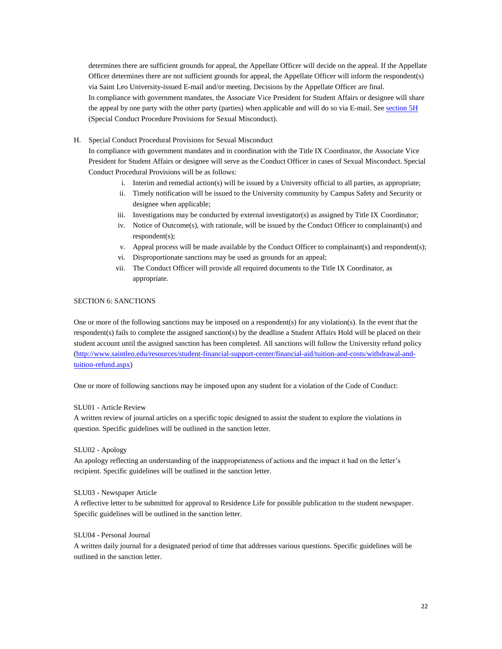determines there are sufficient grounds for appeal, the Appellate Officer will decide on the appeal. If the Appellate Officer determines there are not sufficient grounds for appeal, the Appellate Officer will inform the respondent(s) via Saint Leo University-issued E-mail and/or meeting. Decisions by the Appellate Officer are final. In compliance with government mandates, the Associate Vice President for Student Affairs or designee will share the appeal by one party with the other party (parties) when applicable and will do so via E-mail. See [section 5H](#page-21-0) (Special Conduct Procedure Provisions for Sexual Misconduct).

<span id="page-21-0"></span>H. Special Conduct Procedural Provisions for Sexual Misconduct

In compliance with government mandates and in coordination with the Title IX Coordinator, the Associate Vice President for Student Affairs or designee will serve as the Conduct Officer in cases of Sexual Misconduct. Special Conduct Procedural Provisions will be as follows:

- i. Interim and remedial action(s) will be issued by a University official to all parties, as appropriate;
- ii. Timely notification will be issued to the University community by Campus Safety and Security or designee when applicable;
- iii. Investigations may be conducted by external investigator(s) as assigned by Title IX Coordinator;
- iv. Notice of Outcome(s), with rationale, will be issued by the Conduct Officer to complainant(s) and respondent(s);
- v. Appeal process will be made available by the Conduct Officer to complainant(s) and respondent(s);
- vi. Disproportionate sanctions may be used as grounds for an appeal;
- vii. The Conduct Officer will provide all required documents to the Title IX Coordinator, as appropriate.

## <span id="page-21-1"></span>SECTION 6: SANCTIONS

One or more of the following sanctions may be imposed on a respondent(s) for any violation(s). In the event that the respondent(s) fails to complete the assigned sanction(s) by the deadline a Student Affairs Hold will be placed on their student account until the assigned sanction has been completed. All sanctions will follow the University refund policy [\(http://www.saintleo.edu/resources/student-financial-support-center/financial-aid/tuition-and-costs/withdrawal-and](http://www.saintleo.edu/resources/student-financial-support-center/financial-aid/tuition-and-costs/withdrawal-and-tuition-refund.aspx)[tuition-refund.aspx\)](http://www.saintleo.edu/resources/student-financial-support-center/financial-aid/tuition-and-costs/withdrawal-and-tuition-refund.aspx)

One or more of following sanctions may be imposed upon any student for a violation of the Code of Conduct:

#### SLU01 - Article Review

A written review of journal articles on a specific topic designed to assist the student to explore the violations in question. Specific guidelines will be outlined in the sanction letter.

### SLU02 - Apology

An apology reflecting an understanding of the inappropriateness of actions and the impact it had on the letter's recipient. Specific guidelines will be outlined in the sanction letter.

#### SLU03 - Newspaper Article

A reflective letter to be submitted for approval to Residence Life for possible publication to the student newspaper. Specific guidelines will be outlined in the sanction letter.

## SLU04 - Personal Journal

A written daily journal for a designated period of time that addresses various questions. Specific guidelines will be outlined in the sanction letter.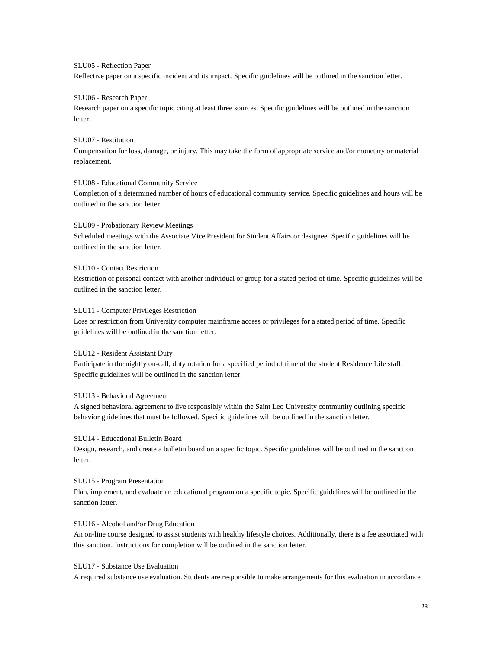#### SLU05 - Reflection Paper

Reflective paper on a specific incident and its impact. Specific guidelines will be outlined in the sanction letter.

#### SLU06 - Research Paper

Research paper on a specific topic citing at least three sources. Specific guidelines will be outlined in the sanction letter.

#### SLU07 - Restitution

Compensation for loss, damage, or injury. This may take the form of appropriate service and/or monetary or material replacement.

#### SLU08 - Educational Community Service

Completion of a determined number of hours of educational community service. Specific guidelines and hours will be outlined in the sanction letter.

## SLU09 - Probationary Review Meetings

Scheduled meetings with the Associate Vice President for Student Affairs or designee. Specific guidelines will be outlined in the sanction letter.

#### SLU10 - Contact Restriction

Restriction of personal contact with another individual or group for a stated period of time. Specific guidelines will be outlined in the sanction letter.

#### SLU11 - Computer Privileges Restriction

Loss or restriction from University computer mainframe access or privileges for a stated period of time. Specific guidelines will be outlined in the sanction letter.

## SLU12 - Resident Assistant Duty

Participate in the nightly on-call, duty rotation for a specified period of time of the student Residence Life staff. Specific guidelines will be outlined in the sanction letter.

#### SLU13 - Behavioral Agreement

A signed behavioral agreement to live responsibly within the Saint Leo University community outlining specific behavior guidelines that must be followed. Specific guidelines will be outlined in the sanction letter.

#### SLU14 - Educational Bulletin Board

Design, research, and create a bulletin board on a specific topic. Specific guidelines will be outlined in the sanction letter.

## SLU15 - Program Presentation

Plan, implement, and evaluate an educational program on a specific topic. Specific guidelines will be outlined in the sanction letter.

# SLU16 - Alcohol and/or Drug Education

An on-line course designed to assist students with healthy lifestyle choices. Additionally, there is a fee associated with this sanction. Instructions for completion will be outlined in the sanction letter.

## SLU17 - Substance Use Evaluation

A required substance use evaluation. Students are responsible to make arrangements for this evaluation in accordance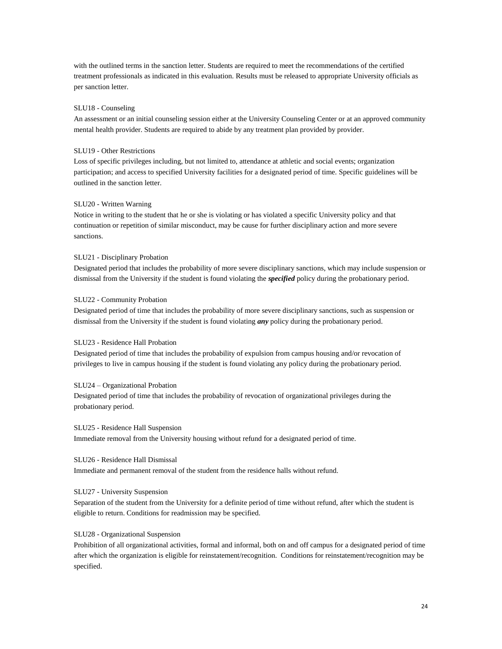with the outlined terms in the sanction letter. Students are required to meet the recommendations of the certified treatment professionals as indicated in this evaluation. Results must be released to appropriate University officials as per sanction letter.

#### SLU18 - Counseling

An assessment or an initial counseling session either at the University Counseling Center or at an approved community mental health provider. Students are required to abide by any treatment plan provided by provider.

#### SLU19 - Other Restrictions

Loss of specific privileges including, but not limited to, attendance at athletic and social events; organization participation; and access to specified University facilities for a designated period of time. Specific guidelines will be outlined in the sanction letter.

#### SLU20 - Written Warning

Notice in writing to the student that he or she is violating or has violated a specific University policy and that continuation or repetition of similar misconduct, may be cause for further disciplinary action and more severe sanctions.

#### SLU21 - Disciplinary Probation

Designated period that includes the probability of more severe disciplinary sanctions, which may include suspension or dismissal from the University if the student is found violating the *specified* policy during the probationary period.

#### SLU22 - Community Probation

Designated period of time that includes the probability of more severe disciplinary sanctions, such as suspension or dismissal from the University if the student is found violating *any* policy during the probationary period.

## SLU23 - Residence Hall Probation

Designated period of time that includes the probability of expulsion from campus housing and/or revocation of privileges to live in campus housing if the student is found violating any policy during the probationary period.

#### SLU24 – Organizational Probation

Designated period of time that includes the probability of revocation of organizational privileges during the probationary period.

#### SLU25 - Residence Hall Suspension

Immediate removal from the University housing without refund for a designated period of time.

#### SLU26 - Residence Hall Dismissal

Immediate and permanent removal of the student from the residence halls without refund.

## SLU27 - University Suspension

Separation of the student from the University for a definite period of time without refund, after which the student is eligible to return. Conditions for readmission may be specified.

#### SLU28 - Organizational Suspension

Prohibition of all organizational activities, formal and informal, both on and off campus for a designated period of time after which the organization is eligible for reinstatement/recognition. Conditions for reinstatement/recognition may be specified.